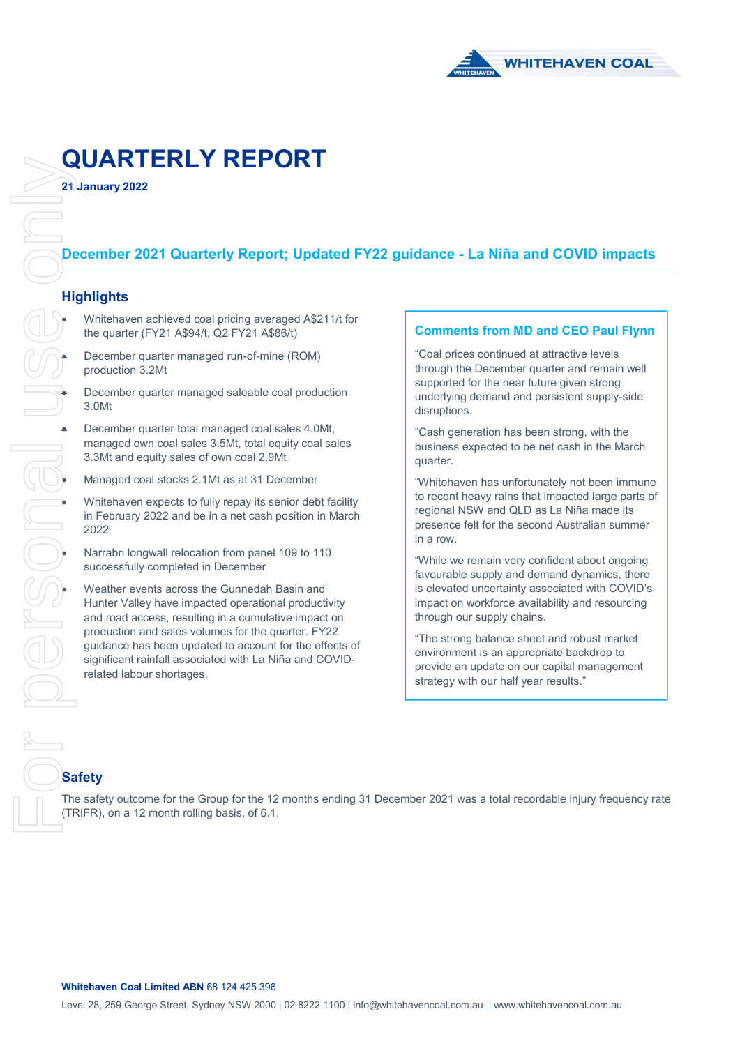

# **QUARTERLY REPORT**

**21 January 2022** 

# **December 2021 Quarterly Report; Updated FY22 guidance - La Niña and COVID impacts**

#### **Highlights**

- Whitehaven achieved coal pricing averaged A\$211/t for the quarter (FY21 A\$94/t, Q2 FY21 A\$86/t)
- December quarter managed run-of-mine (ROM) production 3.2Mt
- December quarter managed saleable coal production 3.0Mt
- managed own coal sales 3.5Mt, total equity coal sales 3.3Mt and equity sales of own coal 2.9Mt
- Managed coal stocks 2.1Mt as at 31 December
- Whitehaven expects to fully repay its senior debt facility in February 2022 and be in a net cash position in March 2022
- Narrabri longwall relocation from panel 109 to 110 successfully completed in December
- December quarter total managed coal sales 4.0Mt,<br>
managed own coal sales 3.5Mt, total equity coal sa<br>
3.3Mt and equity sales of own coal 2.9Mt<br>
Managed coal stocks 2.1Mt as at 31 December<br>
Whitehaven expects to fully repay Weather events across the Gunnedah Basin and Hunter Valley have impacted operational productivity and road access, resulting in a cumulative impact on production and sales volumes for the quarter. FY22 guidance has been updated to account for the effects of significant rainfall associated with La Niña and COVIDrelated labour shortages.

#### **Comments from MD and CEO Paul Flynn**

"Coal prices continued at attractive levels through the December quarter and remain well supported for the near future given strong underlying demand and persistent supply-side disruptions.

"Cash generation has been strong, with the business expected to be net cash in the March quarter.

"Whitehaven has unfortunately not been immune to recent heavy rains that impacted large parts of regional NSW and QLD as La Niña made its presence felt for the second Australian summer in a row.

"While we remain very confident about ongoing favourable supply and demand dynamics, there is elevated uncertainty associated with COVID's impact on workforce availability and resourcing through our supply chains.

"The strong balance sheet and robust market environment is an appropriate backdrop to provide an update on our capital management strategy with our half year results."

# **Safety**

The safety outcome for the Group for the 12 months ending 31 December 2021 was a total recordable injury frequency rate (TRIFR), on a 12 month rolling basis, of 6.1.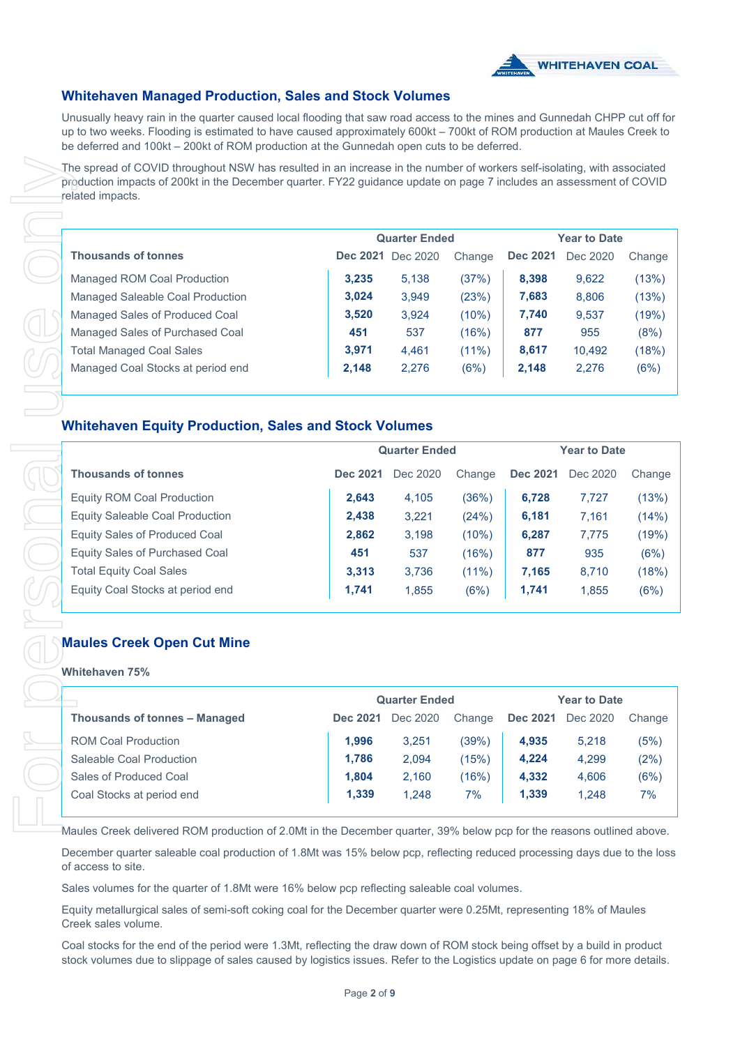

# **Whitehaven Managed Production, Sales and Stock Volumes**

Unusually heavy rain in the quarter caused local flooding that saw road access to the mines and Gunnedah CHPP cut off for up to two weeks. Flooding is estimated to have caused approximately 600kt – 700kt of ROM production at Maules Creek to be deferred and 100kt – 200kt of ROM production at the Gunnedah open cuts to be deferred.

| related impacts.                  |          |                      |          |                 |                     |        |
|-----------------------------------|----------|----------------------|----------|-----------------|---------------------|--------|
|                                   |          |                      |          |                 |                     |        |
|                                   |          | <b>Quarter Ended</b> |          |                 | <b>Year to Date</b> |        |
| <b>Thousands of tonnes</b>        | Dec 2021 | Dec 2020             | Change   | <b>Dec 2021</b> | Dec 2020            | Change |
| Managed ROM Coal Production       | 3.235    | 5.138                | (37%)    | 8.398           | 9,622               | (13%)  |
| Managed Saleable Coal Production  | 3.024    | 3,949                | (23%)    | 7,683           | 8,806               | (13%)  |
| Managed Sales of Produced Coal    | 3,520    | 3,924                | (10%)    | 7,740           | 9,537               | (19%)  |
| Managed Sales of Purchased Coal   | 451      | 537                  | (16%)    | 877             | 955                 | (8%)   |
| <b>Total Managed Coal Sales</b>   | 3,971    | 4,461                | $(11\%)$ | 8,617           | 10,492              | (18%)  |
| Managed Coal Stocks at period end | 2,148    | 2,276                | (6%)     | 2,148           | 2,276               | (6%)   |
|                                   |          |                      |          |                 |                     |        |

### **Whitehaven Equity Production, Sales and Stock Volumes**

|                                                                                                                                                |                 | <b>Quarter Ended</b> |          |                   | <b>Year to Date</b> |                                              |
|------------------------------------------------------------------------------------------------------------------------------------------------|-----------------|----------------------|----------|-------------------|---------------------|----------------------------------------------|
| <b>Thousands of tonnes</b>                                                                                                                     |                 | Dec 2021 Dec 2020    | Change   | <b>Dec 2021</b>   | Dec 2020            | Change                                       |
| Managed ROM Coal Production                                                                                                                    | 3,235           | 5,138                | (37%)    | 8,398             | 9,622               | (13%)                                        |
| Managed Saleable Coal Production                                                                                                               | 3,024           | 3,949                | (23%)    | 7,683             | 8,806               | (13%)                                        |
| Managed Sales of Produced Coal                                                                                                                 | 3,520           | 3,924                | (10%)    | 7,740             | 9,537               | (19%)                                        |
| Managed Sales of Purchased Coal                                                                                                                | 451             | 537                  | (16%)    | 877               | 955                 | (8%)                                         |
| <b>Total Managed Coal Sales</b>                                                                                                                | 3,971           | 4,461                | $(11\%)$ | 8,617             | 10,492              | (18%)                                        |
| Managed Coal Stocks at period end                                                                                                              | 2,148           | 2,276                | (6%)     | 2,148             | 2,276               | (6%)                                         |
| <b>Whitehaven Equity Production, Sales and Stock Volumes</b>                                                                                   |                 |                      |          |                   |                     |                                              |
|                                                                                                                                                |                 | <b>Quarter Ended</b> |          |                   | <b>Year to Date</b> |                                              |
| <b>Thousands of tonnes</b>                                                                                                                     | <b>Dec 2021</b> | Dec 2020             | Change   | <b>Dec 2021</b>   | Dec 2020            | Change                                       |
| <b>Equity ROM Coal Production</b>                                                                                                              | 2,643           | 4,105                | (36%)    | 6,728             | 7,727               | (13%)                                        |
| <b>Equity Saleable Coal Production</b>                                                                                                         | 2,438           | 3,221                | (24%)    | 6,181             | 7,161               | (14%)                                        |
| <b>Equity Sales of Produced Coal</b>                                                                                                           | 2,862           | 3,198                | (10%)    | 6,287             | 7,775               | (19%)                                        |
| <b>Equity Sales of Purchased Coal</b>                                                                                                          | 451             | 537                  | (16%)    | 877               | 935                 | (6%)                                         |
| <b>Total Equity Coal Sales</b>                                                                                                                 | 3,313           | 3,736                | $(11\%)$ | 7,165             | 8,710               | (18%)                                        |
| Equity Coal Stocks at period end                                                                                                               |                 |                      | (6%)     |                   |                     |                                              |
|                                                                                                                                                | 1,741           | 1,855                |          | 1,741             | 1,855               |                                              |
| <b>Maules Creek Open Cut Mine</b><br>Whitehaven 75%                                                                                            |                 |                      |          |                   |                     |                                              |
|                                                                                                                                                |                 | <b>Quarter Ended</b> |          |                   | <b>Year to Date</b> |                                              |
| Thousands of tonnes – Managed                                                                                                                  | <b>Dec 2021</b> | Dec 2020             | Change   | Dec 2021 Dec 2020 |                     |                                              |
| <b>ROM Coal Production</b>                                                                                                                     | 1,996           | 3,251                | (39%)    | 4,935             | 5,218               |                                              |
| Saleable Coal Production                                                                                                                       | 1,786           | 2,094                | (15%)    | 4,224             | 4,299               |                                              |
| Sales of Produced Coal                                                                                                                         | 1,804           | 2,160                | (16%)    | 4,332             | 4,606               |                                              |
| Coal Stocks at period end                                                                                                                      | 1,339           | 1,248                | 7%       | 1,339             | 1,248               |                                              |
| Maules Creek delivered ROM production of 2.0Mt in the December quarter, 39% below pcp for the reasons outlined above.                          |                 |                      |          |                   |                     | (6%)<br>Change<br>(5%)<br>(2%)<br>(6%)<br>7% |
| December quarter saleable coal production of 1.8Mt was 15% below pcp, reflecting reduced processing days due to the loss<br>of access to site. |                 |                      |          |                   |                     |                                              |
| Sales volumes for the quarter of 1.8Mt were 16% below pcp reflecting saleable coal volumes.                                                    |                 |                      |          |                   |                     |                                              |

#### **Maules Creek Open Cut Mine**

#### **Whitehaven 75%**

|                               | <b>Quarter Ended</b> |          |        | <b>Year to Date</b> |          |        |  |
|-------------------------------|----------------------|----------|--------|---------------------|----------|--------|--|
| Thousands of tonnes - Managed | Dec 2021             | Dec 2020 | Change | <b>Dec 2021</b>     | Dec 2020 | Change |  |
| <b>ROM Coal Production</b>    | 1.996                | 3.251    | (39%)  | 4,935               | 5.218    | (5%)   |  |
| Saleable Coal Production      | 1,786                | 2,094    | (15%)  | 4,224               | 4,299    | (2%)   |  |
| Sales of Produced Coal        | 1.804                | 2,160    | (16%)  | 4,332               | 4,606    | (6%)   |  |
| Coal Stocks at period end     | 1,339                | 1,248    | 7%     | 1,339               | 1.248    | 7%     |  |
|                               |                      |          |        |                     |          |        |  |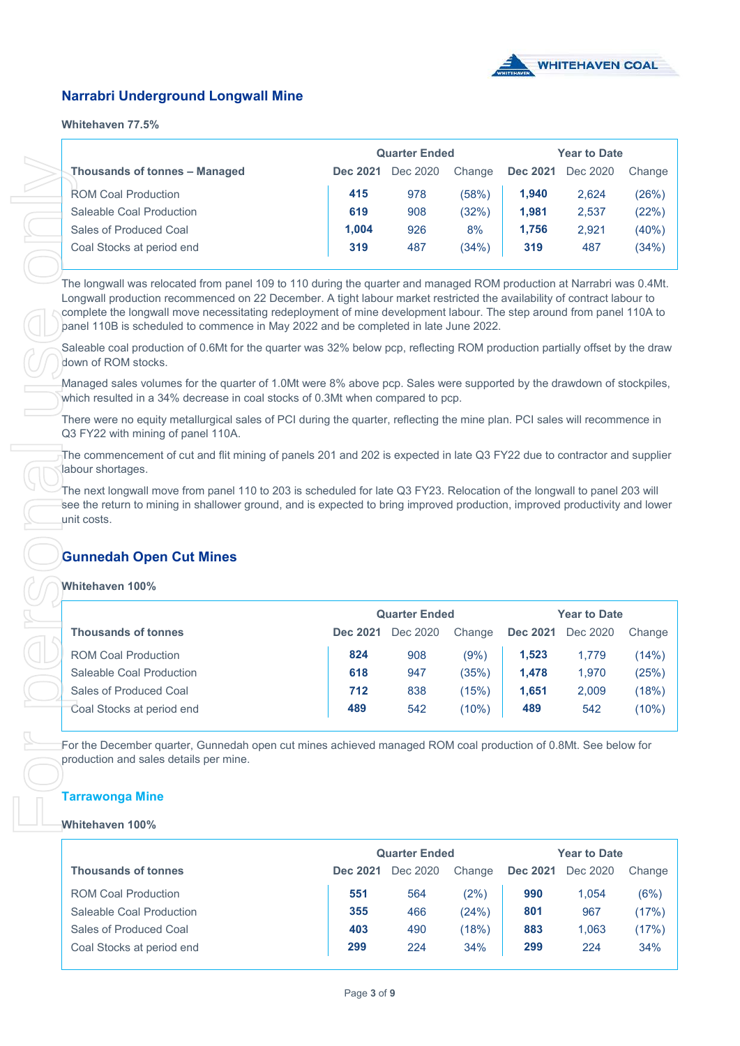

# **Narrabri Underground Longwall Mine**

#### **Whitehaven 77.5%**

|          |          |        | <b>Year to Date</b>  |          |        |  |
|----------|----------|--------|----------------------|----------|--------|--|
| Dec 2021 | Dec 2020 | Change | <b>Dec 2021</b>      | Dec 2020 | Change |  |
| 415      | 978      | (58%)  | 1.940                | 2.624    | (26%)  |  |
| 619      | 908      | (32%)  | 1.981                | 2,537    | (22%)  |  |
| 1.004    | 926      | 8%     | 1.756                | 2.921    | (40%)  |  |
| 319      | 487      | (34%)  | 319                  | 487      | (34%)  |  |
|          |          |        | <b>Quarter Ended</b> |          |        |  |

# **Gunnedah Open Cut Mines**

#### **Whitehaven 100%**

| Thousands of tonnes - Managed                                                                                                                                                                                                                                                                                                                                                                                                                                   |                 | Dec 2021 Dec 2020    | Change         | <b>Dec 2021</b> | Dec 2020            | Change         |
|-----------------------------------------------------------------------------------------------------------------------------------------------------------------------------------------------------------------------------------------------------------------------------------------------------------------------------------------------------------------------------------------------------------------------------------------------------------------|-----------------|----------------------|----------------|-----------------|---------------------|----------------|
| <b>ROM Coal Production</b>                                                                                                                                                                                                                                                                                                                                                                                                                                      | 415             | 978                  | (58%)          | 1,940           | 2,624               | (26%)          |
| Saleable Coal Production                                                                                                                                                                                                                                                                                                                                                                                                                                        | 619             | 908                  | (32%)          | 1,981           | 2,537               | (22%)          |
| Sales of Produced Coal                                                                                                                                                                                                                                                                                                                                                                                                                                          | 1,004           | 926                  | 8%             | 1,756           | 2,921               | (40%)          |
| Coal Stocks at period end                                                                                                                                                                                                                                                                                                                                                                                                                                       | 319             | 487                  | (34%)          | 319             | 487                 | (34%)          |
|                                                                                                                                                                                                                                                                                                                                                                                                                                                                 |                 |                      |                |                 |                     |                |
| The longwall was relocated from panel 109 to 110 during the quarter and managed ROM production at Narrabri was 0.4Mt.<br>Longwall production recommenced on 22 December. A tight labour market restricted the availability of contract labour to<br>complete the longwall move necessitating redeployment of mine development labour. The step around from panel 110A to<br>panel 110B is scheduled to commence in May 2022 and be completed in late June 2022. |                 |                      |                |                 |                     |                |
| Saleable coal production of 0.6Mt for the quarter was 32% below pcp, reflecting ROM production partially offset by the draw<br>down of ROM stocks.                                                                                                                                                                                                                                                                                                              |                 |                      |                |                 |                     |                |
| Managed sales volumes for the quarter of 1.0Mt were 8% above pcp. Sales were supported by the drawdown of stockpiles,<br>which resulted in a 34% decrease in coal stocks of 0.3Mt when compared to pcp.                                                                                                                                                                                                                                                         |                 |                      |                |                 |                     |                |
| There were no equity metallurgical sales of PCI during the quarter, reflecting the mine plan. PCI sales will recommence in<br>Q3 FY22 with mining of panel 110A.                                                                                                                                                                                                                                                                                                |                 |                      |                |                 |                     |                |
| The commencement of cut and flit mining of panels 201 and 202 is expected in late Q3 FY22 due to contractor and supplier<br>labour shortages.                                                                                                                                                                                                                                                                                                                   |                 |                      |                |                 |                     |                |
| The next longwall move from panel 110 to 203 is scheduled for late Q3 FY23. Relocation of the longwall to panel 203 will                                                                                                                                                                                                                                                                                                                                        |                 |                      |                |                 |                     |                |
| see the return to mining in shallower ground, and is expected to bring improved production, improved productivity and lower<br>unit costs.                                                                                                                                                                                                                                                                                                                      |                 |                      |                |                 |                     |                |
|                                                                                                                                                                                                                                                                                                                                                                                                                                                                 |                 |                      |                |                 |                     |                |
|                                                                                                                                                                                                                                                                                                                                                                                                                                                                 |                 |                      |                |                 |                     |                |
| <b>Gunnedah Open Cut Mines</b>                                                                                                                                                                                                                                                                                                                                                                                                                                  |                 |                      |                |                 |                     |                |
| Whitehaven 100%                                                                                                                                                                                                                                                                                                                                                                                                                                                 |                 |                      |                |                 |                     |                |
|                                                                                                                                                                                                                                                                                                                                                                                                                                                                 |                 | <b>Quarter Ended</b> |                |                 | <b>Year to Date</b> |                |
| <b>Thousands of tonnes</b>                                                                                                                                                                                                                                                                                                                                                                                                                                      |                 | Dec 2021 Dec 2020    | Change         |                 | Dec 2021 Dec 2020   | Change         |
| <b>ROM Coal Production</b>                                                                                                                                                                                                                                                                                                                                                                                                                                      | 824             | 908                  | $(9\%)$        | 1,523           | 1,779               | (14%)          |
| Saleable Coal Production                                                                                                                                                                                                                                                                                                                                                                                                                                        | 618             | 947                  | (35%)          | 1,478           | 1,970               | (25%)          |
| Sales of Produced Coal                                                                                                                                                                                                                                                                                                                                                                                                                                          | 712             | 838                  | (15%)          | 1,651           | 2,009               | (18%)          |
| Coal Stocks at period end                                                                                                                                                                                                                                                                                                                                                                                                                                       | 489             | 542                  | (10%)          | 489             | 542                 | (10%)          |
| For the December quarter, Gunnedah open cut mines achieved managed ROM coal production of 0.8Mt. See below for<br>production and sales details per mine.                                                                                                                                                                                                                                                                                                        |                 |                      |                |                 |                     |                |
| <b>Tarrawonga Mine</b>                                                                                                                                                                                                                                                                                                                                                                                                                                          |                 |                      |                |                 |                     |                |
| Whitehaven 100%                                                                                                                                                                                                                                                                                                                                                                                                                                                 |                 |                      |                |                 |                     |                |
|                                                                                                                                                                                                                                                                                                                                                                                                                                                                 |                 | <b>Quarter Ended</b> |                |                 | <b>Year to Date</b> |                |
| <b>Thousands of tonnes</b>                                                                                                                                                                                                                                                                                                                                                                                                                                      | <b>Dec 2021</b> | Dec 2020             | Change         | <b>Dec 2021</b> | Dec 2020            | Change         |
|                                                                                                                                                                                                                                                                                                                                                                                                                                                                 |                 |                      |                |                 |                     |                |
| <b>ROM Coal Production</b>                                                                                                                                                                                                                                                                                                                                                                                                                                      | 551             | 564                  | (2%)           | 990             | 1,054               | (6%)           |
| Saleable Coal Production<br><b>Sales of Produced Coal</b>                                                                                                                                                                                                                                                                                                                                                                                                       | 355<br>403      | 466<br>490           | (24%)<br>(18%) | 801<br>883      | 967<br>1,063        | (17%)<br>(17%) |

#### **Tarrawonga Mine**

#### **Whitehaven 100%**

|                            | <b>Quarter Ended</b> |          |        | <b>Year to Date</b> |          |        |  |
|----------------------------|----------------------|----------|--------|---------------------|----------|--------|--|
| <b>Thousands of tonnes</b> | <b>Dec 2021</b>      | Dec 2020 | Change | <b>Dec 2021</b>     | Dec 2020 | Change |  |
| <b>ROM Coal Production</b> | 551                  | 564      | (2%)   | 990                 | 1.054    | (6%)   |  |
| Saleable Coal Production   | 355                  | 466      | (24%)  | 801                 | 967      | (17%)  |  |
| Sales of Produced Coal     | 403                  | 490      | (18%)  | 883                 | 1.063    | (17%)  |  |
| Coal Stocks at period end  | 299                  | 224      | 34%    | 299                 | 224      | 34%    |  |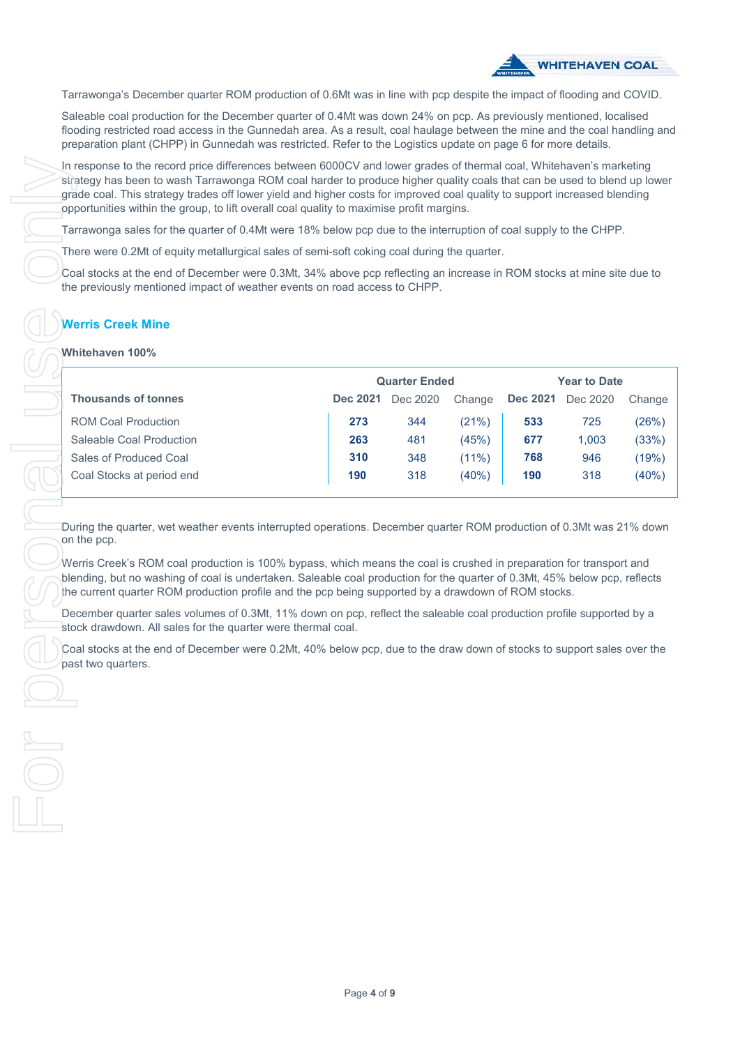

Tarrawonga's December quarter ROM production of 0.6Mt was in line with pcp despite the impact of flooding and COVID.

Saleable coal production for the December quarter of 0.4Mt was down 24% on pcp. As previously mentioned, localised flooding restricted road access in the Gunnedah area. As a result, coal haulage between the mine and the coal handling and preparation plant (CHPP) in Gunnedah was restricted. Refer to the Logistics update on page 6 for more details.

In response to the record price differences between 6000CV and lower grades of thermal coal, Whitehaven's marketing strategy has been to wash Tarrawonga ROM coal harder to produce higher quality coals that can be used to blend up lower grade coal. This strategy trades off lower yield and higher costs for improved coal quality to support increased blending opportunities within the group, to lift overall coal quality to maximise profit margins.

Tarrawonga sales for the quarter of 0.4Mt were 18% below pcp due to the interruption of coal supply to the CHPP.

There were 0.2Mt of equity metallurgical sales of semi-soft coking coal during the quarter.

Coal stocks at the end of December were 0.3Mt, 34% above pcp reflecting an increase in ROM stocks at mine site due to the previously mentioned impact of weather events on road access to CHPP.

# **Werris Creek Mine**

#### **Whitehaven 100%**

|                            | <b>Quarter Ended</b> |          |          | <b>Year to Date</b> |          |        |
|----------------------------|----------------------|----------|----------|---------------------|----------|--------|
| <b>Thousands of tonnes</b> | <b>Dec 2021</b>      | Dec 2020 | Change   | <b>Dec 2021</b>     | Dec 2020 | Change |
| <b>ROM Coal Production</b> | 273                  | 344      | (21%)    | 533                 | 725      | (26%)  |
| Saleable Coal Production   | 263                  | 481      | (45%)    | 677                 | 1.003    | (33%)  |
| Sales of Produced Coal     | 310                  | 348      | $(11\%)$ | 768                 | 946      | (19%)  |
| Coal Stocks at period end  | 190                  | 318      | (40%)    | 190                 | 318      | (40%)  |

During the quarter, wet weather events interrupted operations. December quarter ROM production of 0.3Mt was 21% down on the pcp.

Werris Creek's ROM coal production is 100% bypass, which means the coal is crushed in preparation for transport and blending, but no washing of coal is undertaken. Saleable coal production for the quarter of 0.3Mt, 45% below pcp, reflects the current quarter ROM production profile and the pcp being supported by a drawdown of ROM stocks.

December quarter sales volumes of 0.3Mt, 11% down on pcp, reflect the saleable coal production profile supported by a stock drawdown. All sales for the quarter were thermal coal.

Coal stocks at the end of December were 0.2Mt, 40% below pcp, due to the draw down of stocks to support sales over the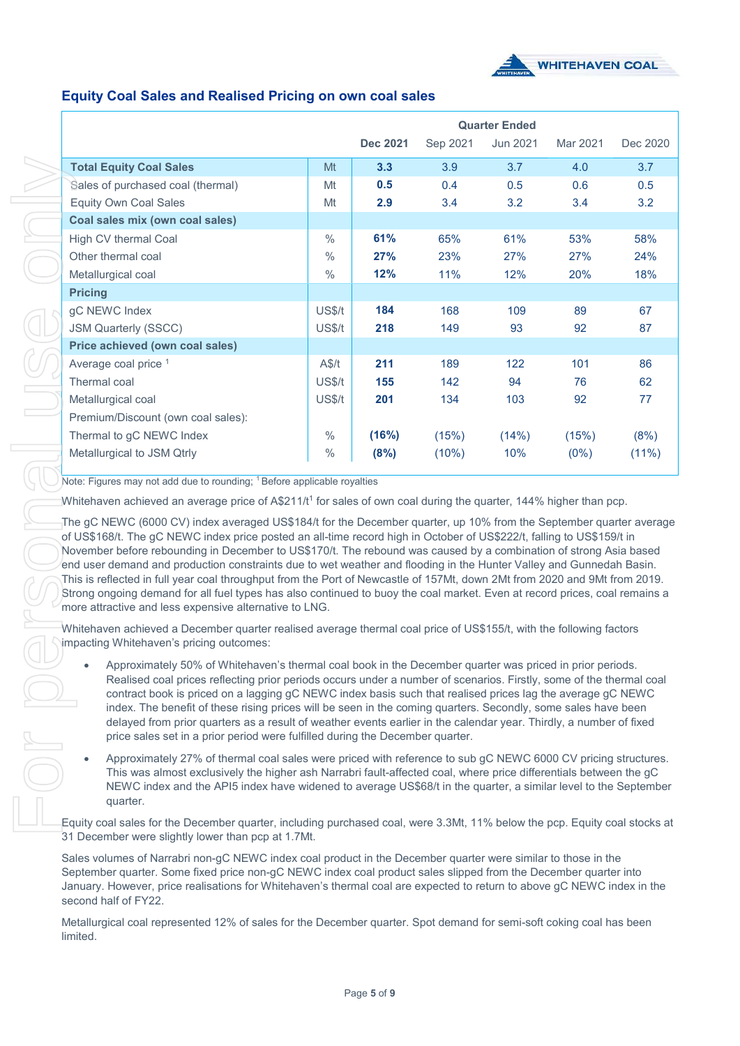

# **Equity Coal Sales and Realised Pricing on own coal sales**

|                                    |                  | <b>Quarter Ended</b> |          |          |          |          |  |
|------------------------------------|------------------|----------------------|----------|----------|----------|----------|--|
|                                    |                  | Dec 2021             | Sep 2021 | Jun 2021 | Mar 2021 | Dec 2020 |  |
| <b>Total Equity Coal Sales</b>     | Mt               | 3.3                  | 3.9      | 3.7      | 4.0      | 3.7      |  |
| Sales of purchased coal (thermal)  | Mt               | 0.5                  | 0.4      | 0.5      | 0.6      | 0.5      |  |
| <b>Equity Own Coal Sales</b>       | Mt               | 2.9                  | 3.4      | 3.2      | 3.4      | 3.2      |  |
| Coal sales mix (own coal sales)    |                  |                      |          |          |          |          |  |
| High CV thermal Coal               | $\frac{0}{0}$    | 61%                  | 65%      | 61%      | 53%      | 58%      |  |
| Other thermal coal                 | $\frac{0}{0}$    | 27%                  | 23%      | 27%      | 27%      | 24%      |  |
| Metallurgical coal                 | $\frac{0}{0}$    | 12%                  | 11%      | 12%      | 20%      | 18%      |  |
| <b>Pricing</b>                     |                  |                      |          |          |          |          |  |
| gC NEWC Index                      | US\$/t           | 184                  | 168      | 109      | 89       | 67       |  |
| <b>JSM Quarterly (SSCC)</b>        | US\$/t           | 218                  | 149      | 93       | 92       | 87       |  |
| Price achieved (own coal sales)    |                  |                      |          |          |          |          |  |
| Average coal price 1               | A\$/t            | 211                  | 189      | 122      | 101      | 86       |  |
| Thermal coal                       | US <sub>st</sub> | 155                  | 142      | 94       | 76       | 62       |  |
| Metallurgical coal                 | US\$/t           | 201                  | 134      | 103      | 92       | 77       |  |
| Premium/Discount (own coal sales): |                  |                      |          |          |          |          |  |
| Thermal to gC NEWC Index           | $\frac{0}{0}$    | (16%)                | (15%)    | (14%)    | (15%)    | (8%)     |  |
| Metallurgical to JSM Qtrly         | $\frac{0}{0}$    | (8%)                 | (10%)    | 10%      | $(0\%)$  | $(11\%)$ |  |

Note: Figures may not add due to rounding: <sup>1</sup> Before applicable royalties

Whitehaven achieved an average price of A\$211/t<sup>1</sup> for sales of own coal during the quarter, 144% higher than pcp.

The gC NEWC (6000 CV) index averaged US\$184/t for the December quarter, up 10% from the September quarter average of US\$168/t. The gC NEWC index price posted an all-time record high in October of US\$222/t, falling to US\$159/t in November before rebounding in December to US\$170/t. The rebound was caused by a combination of strong Asia based end user demand and production constraints due to wet weather and flooding in the Hunter Valley and Gunnedah Basin. This is reflected in full year coal throughput from the Port of Newcastle of 157Mt, down 2Mt from 2020 and 9Mt from 2019. Strong ongoing demand for all fuel types has also continued to buoy the coal market. Even at record prices, coal remains a more attractive and less expensive alternative to LNG.

Whitehaven achieved a December quarter realised average thermal coal price of US\$155/t, with the following factors impacting Whitehaven's pricing outcomes:

- Approximately 50% of Whitehaven's thermal coal book in the December quarter was priced in prior periods. Realised coal prices reflecting prior periods occurs under a number of scenarios. Firstly, some of the thermal coal contract book is priced on a lagging gC NEWC index basis such that realised prices lag the average gC NEWC index. The benefit of these rising prices will be seen in the coming quarters. Secondly, some sales have been delayed from prior quarters as a result of weather events earlier in the calendar year. Thirdly, a number of fixed price sales set in a prior period were fulfilled during the December quarter.
- Approximately 27% of thermal coal sales were priced with reference to sub gC NEWC 6000 CV pricing structures. This was almost exclusively the higher ash Narrabri fault-affected coal, where price differentials between the gC NEWC index and the API5 index have widened to average US\$68/t in the quarter, a similar level to the September quarter.

Equity coal sales for the December quarter, including purchased coal, were 3.3Mt, 11% below the pcp. Equity coal stocks at 31 December were slightly lower than pcp at 1.7Mt.

Sales volumes of Narrabri non-gC NEWC index coal product in the December quarter were similar to those in the September quarter. Some fixed price non-gC NEWC index coal product sales slipped from the December quarter into January. However, price realisations for Whitehaven's thermal coal are expected to return to above gC NEWC index in the second half of FY22.

Metallurgical coal represented 12% of sales for the December quarter. Spot demand for semi-soft coking coal has been limited.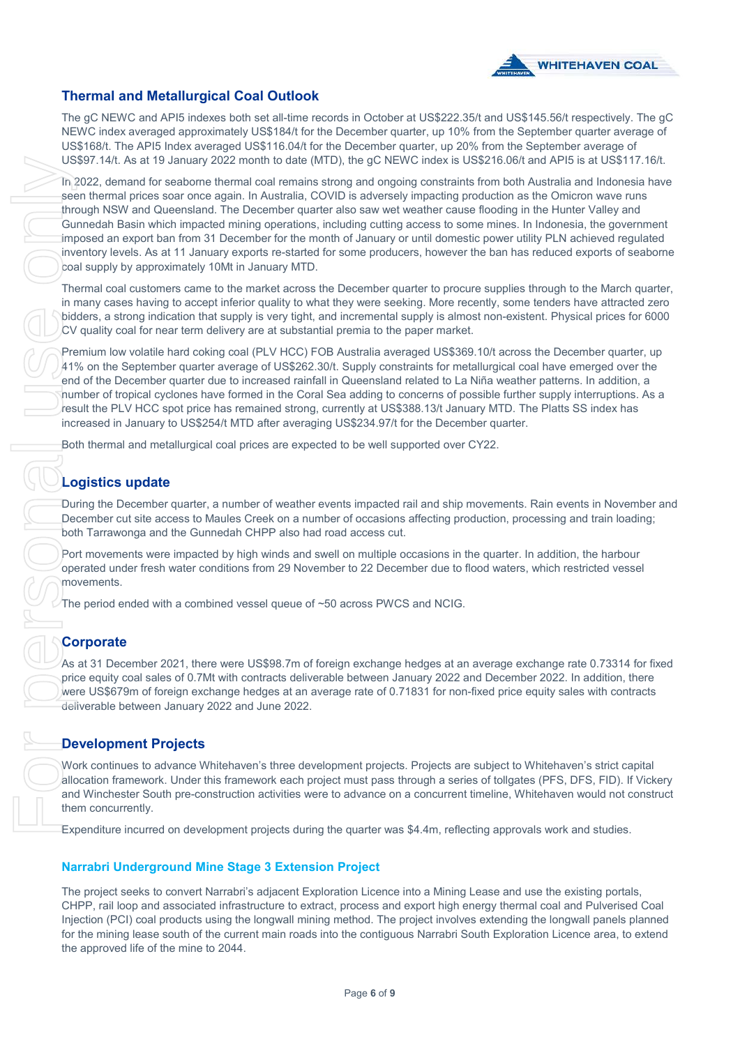

# **Thermal and Metallurgical Coal Outlook**

The gC NEWC and API5 indexes both set all-time records in October at US\$222.35/t and US\$145.56/t respectively. The gC NEWC index averaged approximately US\$184/t for the December quarter, up 10% from the September quarter average of US\$168/t. The API5 Index averaged US\$116.04/t for the December quarter, up 20% from the September average of US\$97.14/t. As at 19 January 2022 month to date (MTD), the gC NEWC index is US\$216.06/t and API5 is at US\$117.16/t.

In 2022, demand for seaborne thermal coal remains strong and ongoing constraints from both Australia and Indonesia have seen thermal prices soar once again. In Australia, COVID is adversely impacting production as the Omicron wave runs through NSW and Queensland. The December quarter also saw wet weather cause flooding in the Hunter Valley and Gunnedah Basin which impacted mining operations, including cutting access to some mines. In Indonesia, the government imposed an export ban from 31 December for the month of January or until domestic power utility PLN achieved regulated inventory levels. As at 11 January exports re-started for some producers, however the ban has reduced exports of seaborne coal supply by approximately 10Mt in January MTD.

Thermal coal customers came to the market across the December quarter to procure supplies through to the March quarter, in many cases having to accept inferior quality to what they were seeking. More recently, some tenders have attracted zero bidders, a strong indication that supply is very tight, and incremental supply is almost non-existent. Physical prices for 6000 CV quality coal for near term delivery are at substantial premia to the paper market.

Premium low volatile hard coking coal (PLV HCC) FOB Australia averaged US\$369.10/t across the December quarter, up 41% on the September quarter average of US\$262.30/t. Supply constraints for metallurgical coal have emerged over the end of the December quarter due to increased rainfall in Queensland related to La Niña weather patterns. In addition, a number of tropical cyclones have formed in the Coral Sea adding to concerns of possible further supply interruptions. As a result the PLV HCC spot price has remained strong, currently at US\$388.13/t January MTD. The Platts SS index has increased in January to US\$254/t MTD after averaging US\$234.97/t for the December quarter.

Both thermal and metallurgical coal prices are expected to be well supported over CY22.

# **Logistics update**

During the December quarter, a number of weather events impacted rail and ship movements. Rain events in November and December cut site access to Maules Creek on a number of occasions affecting production, processing and train loading; both Tarrawonga and the Gunnedah CHPP also had road access cut.

Port movements were impacted by high winds and swell on multiple occasions in the quarter. In addition, the harbour operated under fresh water conditions from 29 November to 22 December due to flood waters, which restricted vessel movements.

The period ended with a combined vessel queue of ~50 across PWCS and NCIG.

# **Corporate**

As at 31 December 2021, there were US\$98.7m of foreign exchange hedges at an average exchange rate 0.73314 for fixed price equity coal sales of 0.7Mt with contracts deliverable between January 2022 and December 2022. In addition, there were US\$679m of foreign exchange hedges at an average rate of 0.71831 for non-fixed price equity sales with contracts deliverable between January 2022 and June 2022.

# **Development Projects**

Work continues to advance Whitehaven's three development projects. Projects are subject to Whitehaven's strict capital allocation framework. Under this framework each project must pass through a series of tollgates (PFS, DFS, FID). If Vickery and Winchester South pre-construction activities were to advance on a concurrent timeline, Whitehaven would not construct them concurrently.

Expenditure incurred on development projects during the quarter was \$4.4m, reflecting approvals work and studies.

#### **Narrabri Underground Mine Stage 3 Extension Project**

The project seeks to convert Narrabri's adjacent Exploration Licence into a Mining Lease and use the existing portals, CHPP, rail loop and associated infrastructure to extract, process and export high energy thermal coal and Pulverised Coal Injection (PCI) coal products using the longwall mining method. The project involves extending the longwall panels planned for the mining lease south of the current main roads into the contiguous Narrabri South Exploration Licence area, to extend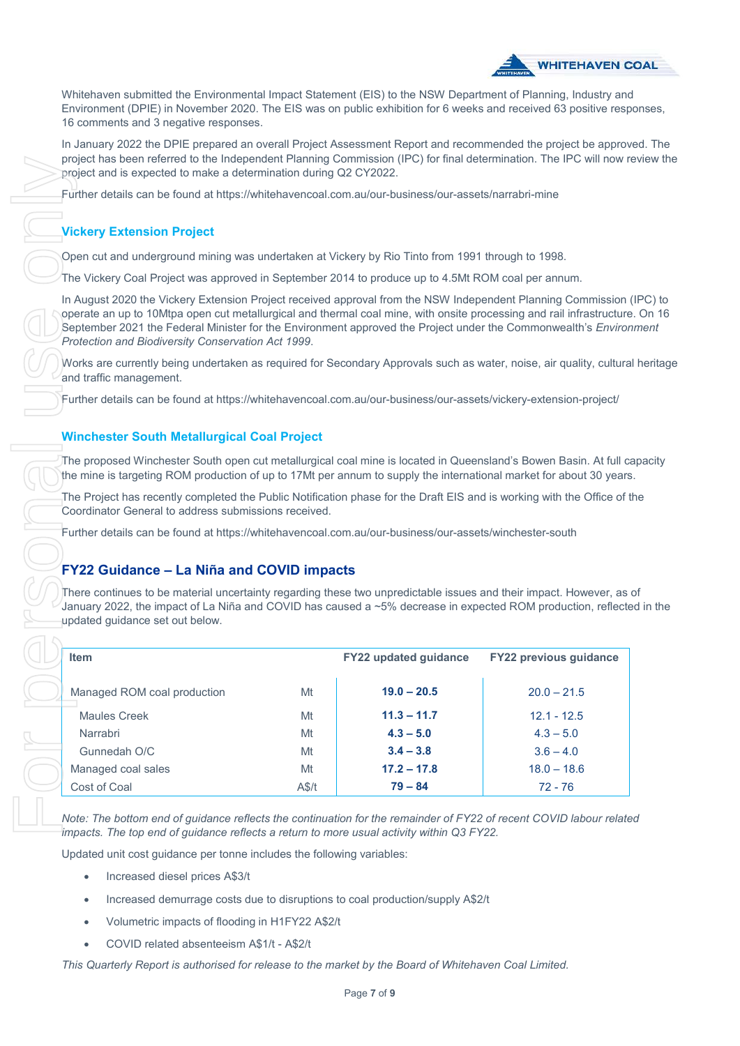

Whitehaven submitted the Environmental Impact Statement (EIS) to the NSW Department of Planning, Industry and Environment (DPIE) in November 2020. The EIS was on public exhibition for 6 weeks and received 63 positive responses, 16 comments and 3 negative responses.

In January 2022 the DPIE prepared an overall Project Assessment Report and recommended the project be approved. The project has been referred to the Independent Planning Commission (IPC) for final determination. The IPC will now review the project and is expected to make a determination during Q2 CY2022.

### **Vickery Extension Project**

In August 2020 the Vickery Extension Project received approval from the NSW Independent Planning Commission (IPC) to operate an up to 10Mtpa open cut metallurgical and thermal coal mine, with onsite processing and rail infrastructure. On 16 September 2021 the Federal Minister for the Environment approved the Project under the Commonwealth's *Environment Protection and Biodiversity Conservation Act 1999*.

Works are currently being undertaken as required for Secondary Approvals such as water, noise, air quality, cultural heritage and traffic management.

#### **Winchester South Metallurgical Coal Project**

The proposed Winchester South open cut metallurgical coal mine is located in Queensland's Bowen Basin. At full capacity the mine is targeting ROM production of up to 17Mt per annum to supply the international market for about 30 years.

# **FY22 Guidance – La Niña and COVID impacts**

There continues to be material uncertainty regarding these two unpredictable issues and their impact. However, as of January 2022, the impact of La Niña and COVID has caused a ~5% decrease in expected ROM production, reflected in the updated guidance set out below.

| project has been referred to the independent Planning Commission (IPC) for linal determination. The IPC will now<br>project and is expected to make a determination during Q2 CY2022.                                                                                                                                                                                                                    |    |                       |                               |
|----------------------------------------------------------------------------------------------------------------------------------------------------------------------------------------------------------------------------------------------------------------------------------------------------------------------------------------------------------------------------------------------------------|----|-----------------------|-------------------------------|
| Further details can be found at https://whitehavencoal.com.au/our-business/our-assets/narrabri-mine                                                                                                                                                                                                                                                                                                      |    |                       |                               |
| <b>Vickery Extension Project</b>                                                                                                                                                                                                                                                                                                                                                                         |    |                       |                               |
| Open cut and underground mining was undertaken at Vickery by Rio Tinto from 1991 through to 1998.                                                                                                                                                                                                                                                                                                        |    |                       |                               |
| The Vickery Coal Project was approved in September 2014 to produce up to 4.5Mt ROM coal per annum.                                                                                                                                                                                                                                                                                                       |    |                       |                               |
| In August 2020 the Vickery Extension Project received approval from the NSW Independent Planning Commission<br>operate an up to 10Mtpa open cut metallurgical and thermal coal mine, with onsite processing and rail infrastructur<br>September 2021 the Federal Minister for the Environment approved the Project under the Commonwealth's Enviro<br>Protection and Biodiversity Conservation Act 1999. |    |                       |                               |
| Works are currently being undertaken as required for Secondary Approvals such as water, noise, air quality, cultura<br>and traffic management.                                                                                                                                                                                                                                                           |    |                       |                               |
| Further details can be found at https://whitehavencoal.com.au/our-business/our-assets/vickery-extension-project/                                                                                                                                                                                                                                                                                         |    |                       |                               |
| <b>Winchester South Metallurgical Coal Project</b>                                                                                                                                                                                                                                                                                                                                                       |    |                       |                               |
| The proposed Winchester South open cut metallurgical coal mine is located in Queensland's Bowen Basin. At full o<br>the mine is targeting ROM production of up to 17Mt per annum to supply the international market for about 30 year                                                                                                                                                                    |    |                       |                               |
| The Project has recently completed the Public Notification phase for the Draft EIS and is working with the Office of<br>Coordinator General to address submissions received.                                                                                                                                                                                                                             |    |                       |                               |
| Further details can be found at https://whitehavencoal.com.au/our-business/our-assets/winchester-south                                                                                                                                                                                                                                                                                                   |    |                       |                               |
|                                                                                                                                                                                                                                                                                                                                                                                                          |    |                       |                               |
| <b>FY22 Guidance - La Niña and COVID impacts</b><br>There continues to be material uncertainty regarding these two unpredictable issues and their impact. However, as<br>January 2022, the impact of La Niña and COVID has caused a ~5% decrease in expected ROM production, reflect<br>updated guidance set out below.                                                                                  |    |                       |                               |
| <b>Item</b>                                                                                                                                                                                                                                                                                                                                                                                              |    | FY22 updated guidance | <b>FY22 previous guidance</b> |
| Managed ROM coal production                                                                                                                                                                                                                                                                                                                                                                              | Mt | $19.0 - 20.5$         | $20.0 - 21.5$                 |
| Maules Creek                                                                                                                                                                                                                                                                                                                                                                                             | Mt | $11.3 - 11.7$         | $12.1 - 12.5$                 |
| Narrabri                                                                                                                                                                                                                                                                                                                                                                                                 | Mt | $4.3 - 5.0$           | $4.3 - 5.0$                   |
|                                                                                                                                                                                                                                                                                                                                                                                                          | Mt | $3.4 - 3.8$           | $3.6 - 4.0$                   |
| Gunnedah O/C                                                                                                                                                                                                                                                                                                                                                                                             |    |                       |                               |
| Managed coal sales                                                                                                                                                                                                                                                                                                                                                                                       | Mt | $17.2 - 17.8$         | $18.0 - 18.6$                 |

*Note: The bottom end of guidance reflects the continuation for the remainder of FY22 of recent COVID labour related impacts. The top end of guidance reflects a return to more usual activity within Q3 FY22.*

Updated unit cost guidance per tonne includes the following variables:

- Increased diesel prices A\$3/t
- Increased demurrage costs due to disruptions to coal production/supply A\$2/t
- Volumetric impacts of flooding in H1FY22 A\$2/t
- COVID related absenteeism A\$1/t A\$2/t

*This Quarterly Report is authorised for release to the market by the Board of Whitehaven Coal Limited.*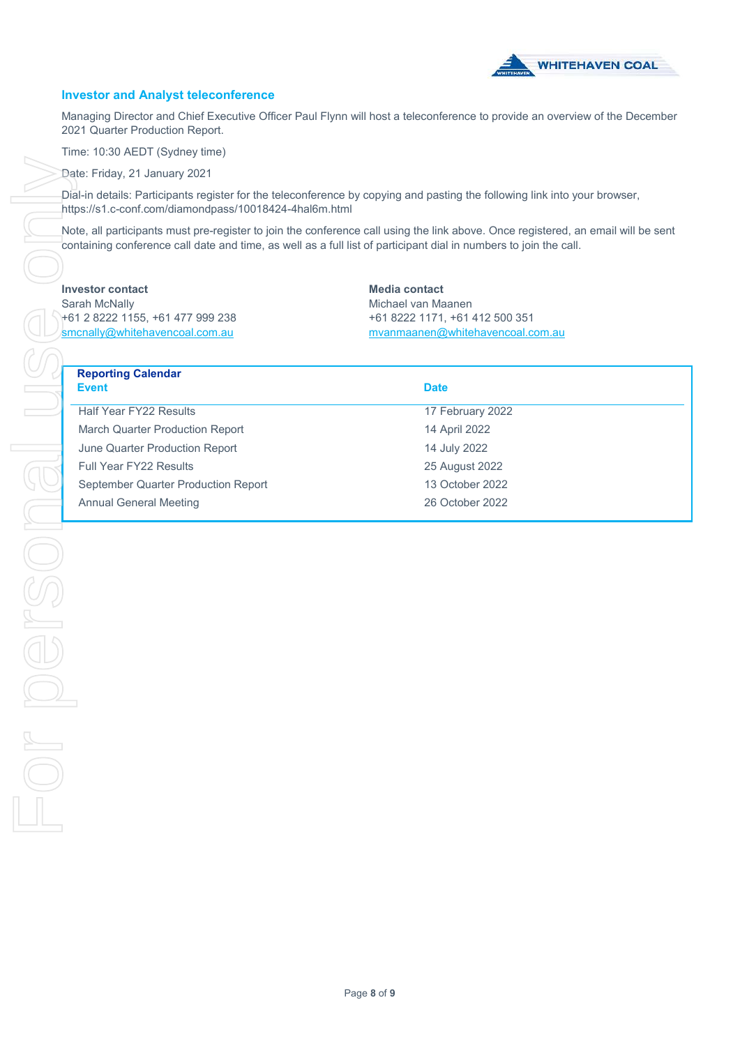

#### **Investor and Analyst teleconference**

Managing Director and Chief Executive Officer Paul Flynn will host a teleconference to provide an overview of the December 2021 Quarter Production Report.

Time: 10:30 AEDT (Sydney time)

Date: Friday, 21 January 2021

Dial-in details: Participants register for the teleconference by copying and pasting the following link into your browser, https://s1.c-conf.com/diamondpass/10018424-4hal6m.html

Note, all participants must pre-register to join the conference call using the link above. Once registered, an email will be sent containing conference call date and time, as well as a full list of participant dial in numbers to join the call.

#### **Investor contact**

Sarah McNally +61 2 8222 1155, +61 477 999 238 smcnally@whitehavencoal.com.au

**Media contact** Michael van Maanen +61 8222 1171, +61 412 500 351 mvanmaanen@whitehavencoal.com.au

# **Reporting Calendar**

| <b>Event</b>                        | <b>Date</b>      |
|-------------------------------------|------------------|
| <b>Half Year FY22 Results</b>       | 17 February 2022 |
| March Quarter Production Report     | 14 April 2022    |
| June Quarter Production Report      | 14 July 2022     |
| <b>Full Year FY22 Results</b>       | 25 August 2022   |
| September Quarter Production Report | 13 October 2022  |
| <b>Annual General Meeting</b>       | 26 October 2022  |
|                                     |                  |